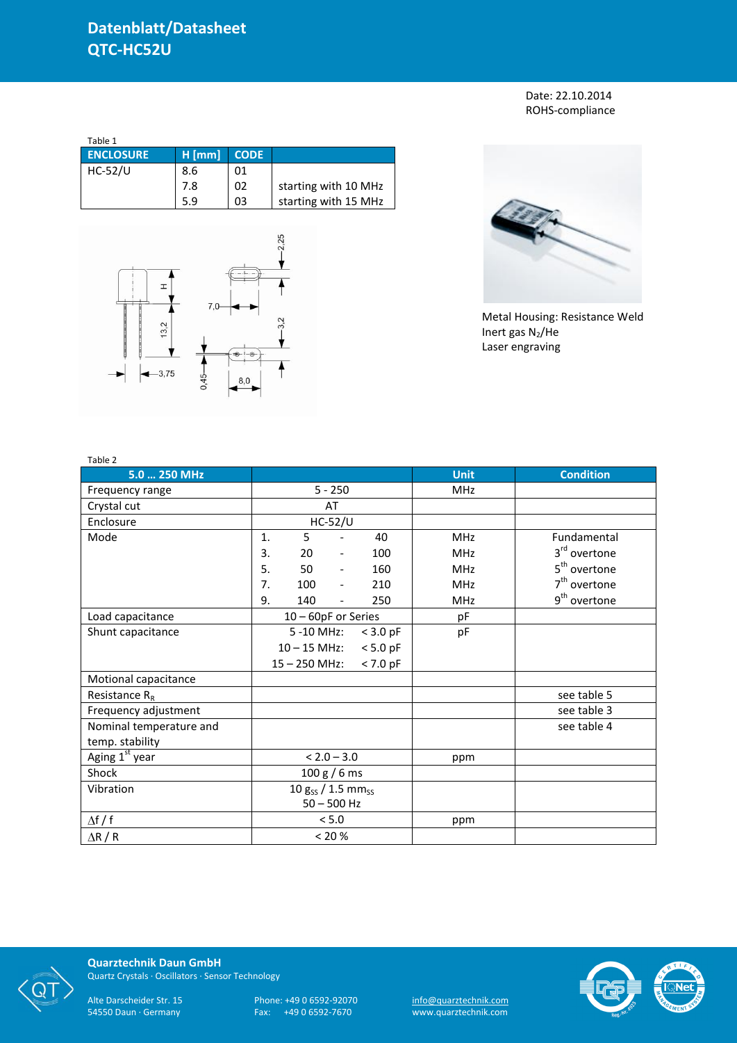Date: 22.10.2014 ROHS-compliance

| Table 1          |          |             |                      |
|------------------|----------|-------------|----------------------|
| <b>ENCLOSURE</b> | $H$ [mm] | <b>CODE</b> |                      |
| <b>HC-52/U</b>   | 8.6      | 01          |                      |
|                  | 7.8      | 02          | starting with 10 MHz |
|                  | 5.9      | 03          | starting with 15 MHz |





Metal Housing: Resistance Weld Inert gas  $N_2$ /He Laser engraving

| Table 2                    |                                    |                 |                          |            |             |                          |
|----------------------------|------------------------------------|-----------------|--------------------------|------------|-------------|--------------------------|
| 5.0  250 MHz               |                                    |                 |                          |            | <b>Unit</b> | <b>Condition</b>         |
| Frequency range            |                                    |                 | $5 - 250$                |            | <b>MHz</b>  |                          |
| Crystal cut                |                                    |                 | AT                       |            |             |                          |
| Enclosure                  |                                    |                 | $HC-52/U$                |            |             |                          |
| Mode                       | 1.                                 | 5               |                          | 40         | <b>MHz</b>  | Fundamental              |
|                            | 3.                                 | 20              | $\overline{\phantom{a}}$ | 100        | <b>MHz</b>  | 3 <sup>rd</sup> overtone |
|                            | 5.                                 | 50              | $\overline{\phantom{a}}$ | 160        | MHz         | 5 <sup>th</sup> overtone |
|                            | 7.                                 | 100             | $\overline{\phantom{a}}$ | 210        | <b>MHz</b>  | $7th$ overtone           |
|                            | 9.                                 | 140             | $\overline{\phantom{0}}$ | 250        | <b>MHz</b>  | 9 <sup>th</sup> overtone |
| Load capacitance           | 10 - 60pF or Series                |                 |                          |            | pF          |                          |
| Shunt capacitance          |                                    | 5 -10 MHz:      |                          | $<$ 3.0 pF | pF          |                          |
|                            |                                    | $10 - 15$ MHz:  |                          | $< 5.0$ pF |             |                          |
|                            |                                    | $15 - 250$ MHz: |                          | $< 7.0$ pF |             |                          |
| Motional capacitance       |                                    |                 |                          |            |             |                          |
| Resistance $R_R$           |                                    |                 |                          |            |             | see table 5              |
| Frequency adjustment       |                                    |                 |                          |            |             | see table 3              |
| Nominal temperature and    |                                    |                 |                          |            |             | see table 4              |
| temp. stability            |                                    |                 |                          |            |             |                          |
| Aging 1 <sup>st</sup> year |                                    |                 | $< 2.0 - 3.0$            |            | ppm         |                          |
| Shock                      | 100 g / 6 ms                       |                 |                          |            |             |                          |
| Vibration                  | 10 $g_{SS}$ / 1.5 mm <sub>ss</sub> |                 |                          |            |             |                          |
|                            | $50 - 500$ Hz                      |                 |                          |            |             |                          |
| $\Delta f / f$             |                                    |                 | < 5.0                    |            | ppm         |                          |
| $\Delta$ R / R             |                                    |                 | < 20 %                   |            |             |                          |



**Quarztechnik Daun GmbH** Quartz Crystals · Oscillators · Sensor Technology

Alte Darscheider Str. 15 Phone: +49 0 6592-92070 <u>info@quarztechnik.com</u> 54550 Daun · Germany Fax: +49 0 6592-7670 www.quarztechnik.com